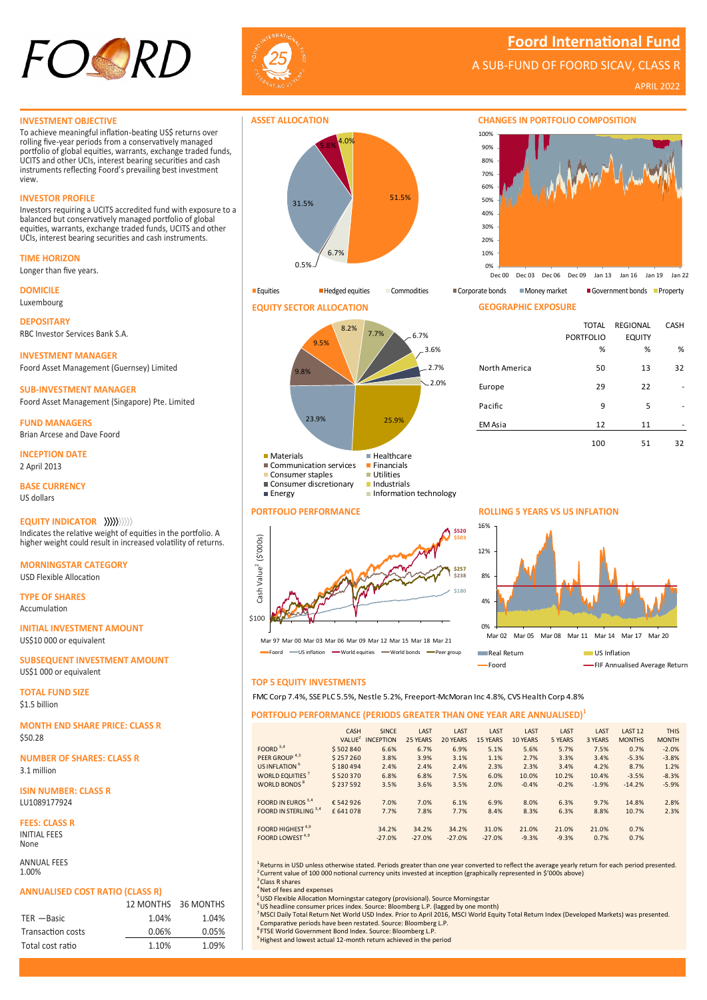

**Foord International Fund**

A SUB-FUND OF FOORD SICAV, CLASS R

APRIL 2022

#### **INVESTMENT OBJECTIVE**

To achieve meaningful inflation-beating US\$ returns over rolling five-year periods from a conservatively managed portfolio of global equities, warrants, exchange traded funds, UCITS and other UCIs, interest bearing securities and cash instruments reflecting Foord's prevailing best investment view.

# **INVESTOR PROFILE**

Investors requiring a UCITS accredited fund with exposure to a balanced but conservatively managed portfolio of global equities, warrants, exchange traded funds, UCITS and other UCIs, interest bearing securities and cash instruments.



Longer than five years.

**DOMICILE** Luxembourg

**DEPOSITARY** RBC Investor Services Bank S.A.

**INVESTMENT MANAGER** Foord Asset Management (Guernsey) Limited

**SUB-INVESTMENT MANAGER** Foord Asset Management (Singapore) Pte. Limited

**FUND MANAGERS** Brian Arcese and Dave Foord

**INCEPTION DATE** 2 April 2013

**BASE CURRENCY** US dollars

**EQUITY INDICATOR** Indicates the relative weight of equities in the portfolio. A higher weight could result in increased volatility of returns.

**MORNINGSTAR CATEGORY** USD Flexible Allocation

**TYPE OF SHARES** Accumulation

**INITIAL INVESTMENT AMOUNT** US\$10 000 or equivalent

**SUBSEQUENT INVESTMENT AMOUNT** US\$1 000 or equivalent

**TOTAL FUND SIZE** \$1.5 billion

**MONTH END SHARE PRICE: CLASS R** \$50.28

**NUMBER OF SHARES: CLASS R** 3.1 million

**ISIN NUMBER: CLASS R** LU1089177924

**FEES: CLASS R** INITIAL FEES None

ANNUAL FEES 1.00%

### **ANNUALISED COST RATIO (CLASS R)**

|                   |       | 12 MONTHS 36 MONTHS |
|-------------------|-------|---------------------|
| $TER - Basic$     | 1.04% | 1.04%               |
| Transaction costs | 0.06% | 0.05%               |
| Total cost ratio  | 1.10% | 1.09%               |







**PORTFOLIO PERFORMANCE** 



Mar 97 Mar 00 Mar 03 Mar 06 Mar 09 Mar 12 Mar 15 Mar 18 Mar 21 - US inflation - World equities - World bonds - Peer group

# 4% 8% 12%

Foord **FIF Annualised Average Return** 

# **TOP 5 EQUITY INVESTMENTS**

### **PORTFOLIO PERFORMANCE (PERIODS GREATER THAN ONE YEAR ARE ANNUALISED)<sup>1</sup>**

|                                | CASH               | <b>SINCE</b>     | LAST     | LAST     | LAST            | LAST     | LAST    | LAST    | LAST <sub>12</sub> | <b>THIS</b>  |
|--------------------------------|--------------------|------------------|----------|----------|-----------------|----------|---------|---------|--------------------|--------------|
|                                | VALUE <sup>2</sup> | <b>INCEPTION</b> | 25 YEARS | 20 YEARS | <b>15 YEARS</b> | 10 YEARS | 5 YEARS | 3 YEARS | <b>MONTHS</b>      | <b>MONTH</b> |
| FOORD $3,4$                    | \$502840           | 6.6%             | 6.7%     | 6.9%     | 5.1%            | 5.6%     | 5.7%    | 7.5%    | 0.7%               | $-2.0%$      |
| PEER GROUP <sup>4,5</sup>      | \$257260           | 3.8%             | 3.9%     | 3.1%     | 1.1%            | 2.7%     | 3.3%    | 3.4%    | $-5.3%$            | $-3.8%$      |
| US INFLATION <sup>6</sup>      | \$180494           | 2.4%             | 2.4%     | 2.4%     | 2.3%            | 2.3%     | 3.4%    | 4.2%    | 8.7%               | 1.2%         |
| WORLD EQUITIES <sup>7</sup>    | \$520370           | 6.8%             | 6.8%     | 7.5%     | 6.0%            | 10.0%    | 10.2%   | 10.4%   | $-3.5%$            | $-8.3%$      |
| <b>WORLD BONDS<sup>8</sup></b> | \$237592           | 3.5%             | 3.6%     | 3.5%     | 2.0%            | $-0.4%$  | $-0.2%$ | $-1.9%$ | $-14.2%$           | $-5.9%$      |
|                                |                    |                  |          |          |                 |          |         |         |                    |              |
| FOORD IN EUROS 3,4             | €542926            | 7.0%             | 7.0%     | 6.1%     | 6.9%            | 8.0%     | 6.3%    | 9.7%    | 14.8%              | 2.8%         |
| FOORD IN STERLING 3,4          | £641078            | 7.7%             | 7.8%     | 7.7%     | 8.4%            | 8.3%     | 6.3%    | 8.8%    | 10.7%              | 2.3%         |
| FOORD HIGHEST <sup>4,9</sup>   |                    | 34.2%            | 34.2%    | 34.2%    | 31.0%           | 21.0%    | 21.0%   | 21.0%   | 0.7%               |              |
| FOORD LOWEST <sup>4,9</sup>    |                    | $-27.0%$         | $-27.0%$ | $-27.0%$ | $-27.0%$        | $-9.3%$  | $-9.3%$ | 0.7%    | 0.7%               |              |

<sup>1</sup> Returns in USD unless otherwise stated. Periods greater than one year converted to reflect the average yearly return for each period presented. <sup>2</sup> Current value of 100 000 notional currency units invested at inception (graphically represented in \$'000s above) <sup>3</sup> Class R shares

<sup>4</sup> Net of fees and expenses

<sup>5</sup> USD Flexible Allocation Morningstar category (provisional). Source Morningstar<br><sup>6</sup> US headline consumer prices index. Source: Bloomberg L.P. (lagged by one month)

<sup>7</sup>MSCI Daily Total Return Net World USD Index. Prior to April 2016, MSCI World Equity Total Return Index (Developed Markets) was presented. Comparative periods have been restated. Source: Bloomberg L.P.

<sup>8</sup>FTSE World Government Bond Index. Source: Bloomberg L.P.

<sup>9</sup> Highest and lowest actual 12-month return achieved in the period

**CHANGES IN PORTFOLIO COMPOSITION**



Equities Hedged equities Commodities Corporate bonds Money market Government bonds Property

| <b>GEOGRAPHIC EXPOSURE</b> |                  |                 |             |
|----------------------------|------------------|-----------------|-------------|
|                            | <b>TOTAL</b>     | <b>REGIONAL</b> | <b>CASH</b> |
|                            | <b>PORTFOLIO</b> | <b>EQUITY</b>   |             |
|                            | %                | %               | %           |
| North America              | 50               | 13              | 32          |
| Europe                     | 29               | 22              |             |
| Pacific                    | 9                | 5               |             |
| EM Asia                    | 12               | 11              |             |
|                            | 100              | 51              | 32          |

**ROLLING 5 YEARS VS US INFLATION** 16%